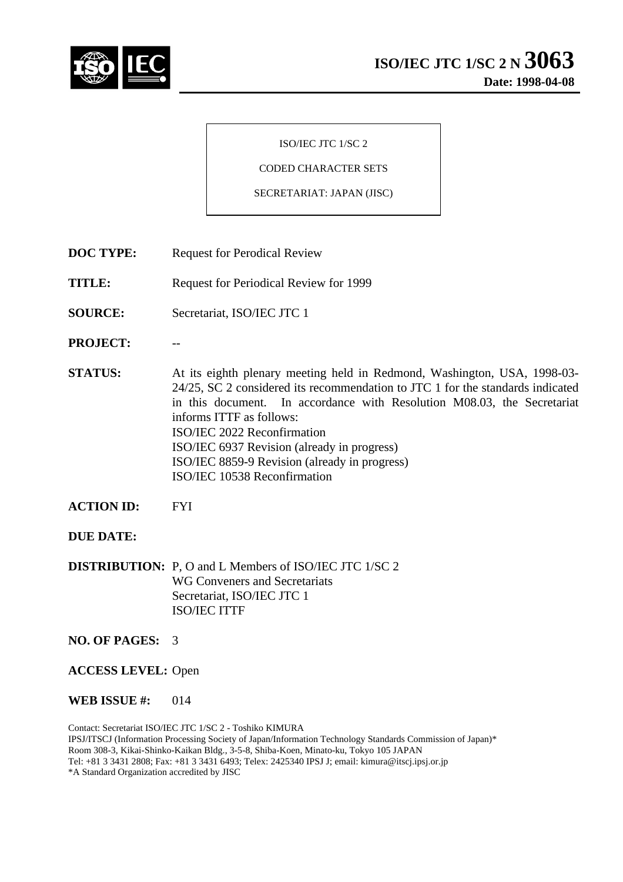

#### ISO/IEC JTC 1/SC 2

## CODED CHARACTER SETS

#### SECRETARIAT: JAPAN (JISC)

- **DOC TYPE:** Request for Perodical Review
- **TITLE:** Request for Periodical Review for 1999
- **SOURCE:** Secretariat, ISO/IEC JTC 1
- **PROJECT:** --
- **STATUS:** At its eighth plenary meeting held in Redmond, Washington, USA, 1998-03- 24/25, SC 2 considered its recommendation to JTC 1 for the standards indicated in this document. In accordance with Resolution M08.03, the Secretariat informs ITTF as follows: ISO/IEC 2022 Reconfirmation ISO/IEC 6937 Revision (already in progress) ISO/IEC 8859-9 Revision (already in progress) ISO/IEC 10538 Reconfirmation
- **ACTION ID:** FYI

# **DUE DATE:**

**DISTRIBUTION:** P, O and L Members of ISO/IEC JTC 1/SC 2 WG Conveners and Secretariats Secretariat, ISO/IEC JTC 1 ISO/IEC ITTF

## **NO. OF PAGES:** 3

**ACCESS LEVEL:** Open

**WEB ISSUE #:** 014

Contact: Secretariat ISO/IEC JTC 1/SC 2 - Toshiko KIMURA IPSJ/ITSCJ (Information Processing Society of Japan/Information Technology Standards Commission of Japan)\* Room 308-3, Kikai-Shinko-Kaikan Bldg., 3-5-8, Shiba-Koen, Minato-ku, Tokyo 105 JAPAN Tel: +81 3 3431 2808; Fax: +81 3 3431 6493; Telex: 2425340 IPSJ J; email: kimura@itscj.ipsj.or.jp \*A Standard Organization accredited by JISC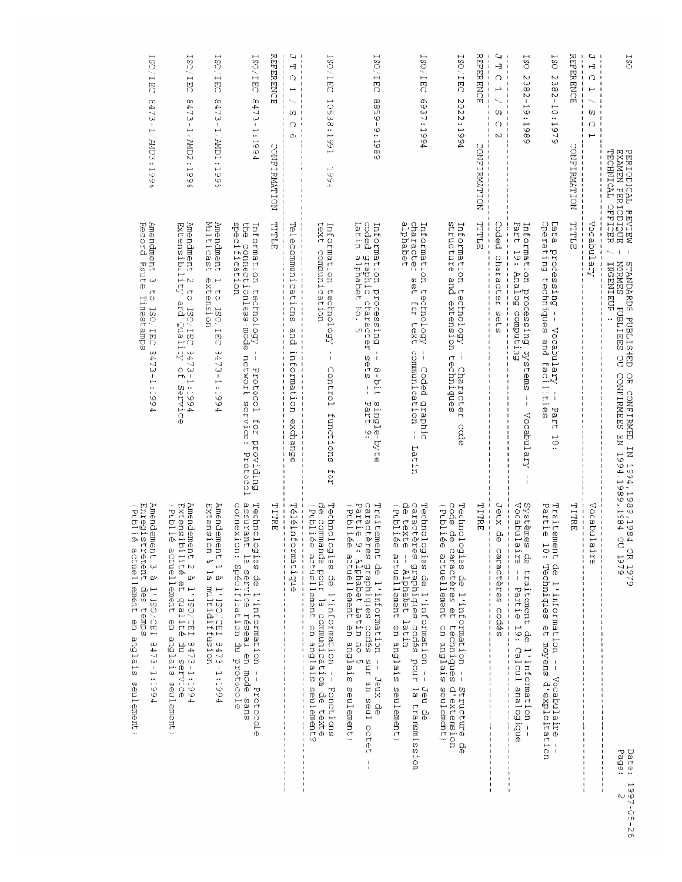| 180<br>EXAMEN PERIODIQUE<br>TECHNICAL OFFICER<br>PERIODICAL REVIEW       | <b>NORMES</b><br><b>CITANDARDS PUBLISIED</b><br>INGENIEUR<br><b>FUBLIEES</b><br>g<br>OR CONFIRMED<br>CONFIRMENT EN                                                              | 17 1994,1989,1984 OR 1979<br>1994,1989,1989 OU 1979<br>Page:<br>Date:                                                                                                                                                                                                                                                                                                                                                                                                                                                                                                                             | $1997 - 25 - 26$<br>Μ |
|--------------------------------------------------------------------------|---------------------------------------------------------------------------------------------------------------------------------------------------------------------------------|---------------------------------------------------------------------------------------------------------------------------------------------------------------------------------------------------------------------------------------------------------------------------------------------------------------------------------------------------------------------------------------------------------------------------------------------------------------------------------------------------------------------------------------------------------------------------------------------------|-----------------------|
| $\overline{L}$<br>þ<br>$\hat{O}$<br>C<br>O                               | Vocabulary                                                                                                                                                                      | Vocabul<br>ω<br>$\overline{a}$                                                                                                                                                                                                                                                                                                                                                                                                                                                                                                                                                                    |                       |
| <b>REFERENCE</b><br>CONFIRMATION                                         | TITLE                                                                                                                                                                           | TTRE                                                                                                                                                                                                                                                                                                                                                                                                                                                                                                                                                                                              |                       |
| SO<br>$2382 -$<br>10:197<br>ق                                            | Operating techniques and<br>Data<br>processing<br>$\blacksquare$<br>Vocabulary<br>faciliti<br>$\,$ $\,$<br>დ<br>თ<br>Part<br>دسم<br>$\circ$                                     | Partie<br>Traitemel<br>Į,<br>nt de l'information -- Vocabulaire --<br>0: Techniques et moyens d'exploitation                                                                                                                                                                                                                                                                                                                                                                                                                                                                                      |                       |
| SO<br>N<br>382.<br>$\mathsf I$<br>⊢<br>Q<br>:198<br>$\circ$              | Part<br>Information processing<br>19: Analog computing<br>swarems<br>$\,$ $\,$<br>Vocabulary                                                                                    | Vocabula<br>Systèmes<br>$1rs -$<br>de traitement de l'information<br>- Partie 19: Calcul analogique                                                                                                                                                                                                                                                                                                                                                                                                                                                                                               |                       |
| Ч<br>Ĥ<br>Q<br>L<br>w<br>Ω<br>$\sim$                                     | Coded character<br>J<br>ţ<br>ı<br>ŧ<br>$\frac{1}{4}$<br>sets                                                                                                                    | Jeux de<br>caractères codés<br>$\frac{1}{1}$<br>$\frac{1}{1}$                                                                                                                                                                                                                                                                                                                                                                                                                                                                                                                                     |                       |
| <b>NEWSHIPS</b><br>CONFIRMITION                                          | TITLE<br>$\frac{1}{1}$<br>I                                                                                                                                                     | TTRE<br>$\mathsf I$<br>$\frac{1}{1}$<br>$\begin{array}{c} \rule{0pt}{2ex} \rule{0pt}{2ex} \rule{0pt}{2ex} \rule{0pt}{2ex} \rule{0pt}{2ex} \rule{0pt}{2ex} \rule{0pt}{2ex} \rule{0pt}{2ex} \rule{0pt}{2ex} \rule{0pt}{2ex} \rule{0pt}{2ex} \rule{0pt}{2ex} \rule{0pt}{2ex} \rule{0pt}{2ex} \rule{0pt}{2ex} \rule{0pt}{2ex} \rule{0pt}{2ex} \rule{0pt}{2ex} \rule{0pt}{2ex} \rule{0pt}{2ex} \rule{0pt}{2ex} \rule{0pt}{2ex} \rule{0pt}{2ex} \rule{0pt}{$<br>$\pmb{\mathsf{I}}$<br>J.                                                                                                                |                       |
| ISO/IEC<br>202<br>2:1994                                                 | structure<br>Information<br>and<br>technology<br>extension techniques<br>Character<br>cade                                                                                      | Technologies de l'information --<br>code de caractères et techniques<br>(Publiée actuellement en anglais<br>Structure de<br>d'extension<br>seulement)                                                                                                                                                                                                                                                                                                                                                                                                                                             |                       |
| ISO/IEC<br>$\sigma$<br>937:19<br>94                                      | alphabet<br>character<br>Information technology<br>aet<br>for text<br>-- Coded graphic<br>communication --<br>Latin                                                             | $\frac{\Omega}{\Phi}$<br>Technologies de l'information --<br>caractères graphiques codés pour<br>(Publiée<br>texte<br>actuellement en anglais seulement)<br>$\frac{1}{2}$<br>Alphabet latin<br>Jeu de<br>la transmission                                                                                                                                                                                                                                                                                                                                                                          |                       |
| <b>ISO/IEC</b><br>$\infty$<br>$-658$<br>$\ddot{ }$<br>5<br>$\frac{8}{9}$ | coded<br>Latin<br>Information<br>alphabet No.<br>draphic<br>processing<br>character<br>CΠ<br>sets<br>$3 - 511$<br>$\mathfrak{f}$<br>$\mathbf{I}$<br>single-byte<br>Part 9:      | (Publiée<br>Traitement de l'information -- Jeux de<br>caractères graphiques codés sur un seu<br>Partie 9: Alphabet Latin no 5<br>actuellement en anglais seulement)<br>ant un seul octe<br>٢Ť<br>$\begin{array}{c} \rule{0pt}{2.5ex} \rule{0pt}{2.5ex} \rule{0pt}{2.5ex} \rule{0pt}{2.5ex} \rule{0pt}{2.5ex} \rule{0pt}{2.5ex} \rule{0pt}{2.5ex} \rule{0pt}{2.5ex} \rule{0pt}{2.5ex} \rule{0pt}{2.5ex} \rule{0pt}{2.5ex} \rule{0pt}{2.5ex} \rule{0pt}{2.5ex} \rule{0pt}{2.5ex} \rule{0pt}{2.5ex} \rule{0pt}{2.5ex} \rule{0pt}{2.5ex} \rule{0pt}{2.5ex} \rule{0pt}{2.5ex} \rule{0$<br>$\mathbf{I}$ |                       |
| SO/IEDC<br>10538:1991<br>1994                                            | けのス<br>トラメ<br>Information<br>communication<br>technology<br>$\mathsf I$<br>Control<br>functions<br>$70\frac{1}{4}$                                                              | de commande pour la communication de texte<br>(Publiée artuellement en anglais seulement<br>Technologies de l'information -- Fonctions<br>anglais<br>seulement9                                                                                                                                                                                                                                                                                                                                                                                                                                   |                       |
| L<br>L<br>$\hat{O}$<br>Ē<br>C)<br>∩<br>Œ١                                | Telecommunications<br>and<br>intormation<br>exchang<br>$\Phi$                                                                                                                   | Téléinformatique<br>$\ddot{\phantom{a}}$<br>$\mathbf{I}$<br>$\mathbf{I}$                                                                                                                                                                                                                                                                                                                                                                                                                                                                                                                          |                       |
| ㅈ<br><b>ERRENTER</b><br>CONFIRMATION                                     | TITIL<br>$\overline{1}$<br>ı<br>$\mathbf{I}$                                                                                                                                    | TTRE<br>$\sqrt{2}$<br>$\mathbf{I}$<br>$\mathbf I$<br>$\overline{\phantom{a}}$                                                                                                                                                                                                                                                                                                                                                                                                                                                                                                                     |                       |
| <b>SO/IEC</b><br>m<br>47<br>ω<br>J.<br>1:1994                            | specification<br>ene<br>B<br>Information<br>connectionless-mode<br>technology<br>$\mathbb{I}$<br>network<br>f,<br>Protoco<br>service<br>ب<br>IOI<br>providing<br>.,<br>Protocol | Technologies de l'information -- Protocole<br>assurant le service réseau en mode sans<br>connexion: Spécification du protocole                                                                                                                                                                                                                                                                                                                                                                                                                                                                    |                       |
| SO/IED<br>m<br>$\overline{47}$<br>ىب<br>ا<br>1/2MD1:1995                 | Multicast<br>Amendment<br>extension<br>$\mapsto$<br>ר<br>ס<br>ISC/IEC<br>3473-1:199<br>4                                                                                        | Amendement 1 à 1'1SO/CEI 8473-1:1994<br>Extension à la multidiffusion                                                                                                                                                                                                                                                                                                                                                                                                                                                                                                                             |                       |
| SO/IEDC<br>m<br>ÍΡ.<br>لى)<br>$\mathord{\Downarrow}$<br>1/AMD2:199<br>o. | Amendment 2 t.<br>Extensibility<br>$\sigma$<br>and puality<br>ISO/IEC<br>3473-1:199<br>$\frac{1}{2}$<br>Service<br>4                                                            | Amendement 2 à 1'130/CEI 9473-1:1994<br>Extensibilité et qualité du service<br>(Publié<br>actuellement en anglais seulement)                                                                                                                                                                                                                                                                                                                                                                                                                                                                      |                       |
| ISO/IEC<br>m<br>$473 -$<br>1/AMD3:199<br>ō١                              | Anendment<br>Record<br>Route<br>$\omega$<br>$(\top)$<br>Tinestamps<br>$\circ$<br>DHI/OSI<br>$\omega$<br>خلو<br>$\overline{\phantom{0}}$<br>نیا<br>ا<br>1:199<br>4               | seulement)                                                                                                                                                                                                                                                                                                                                                                                                                                                                                                                                                                                        |                       |